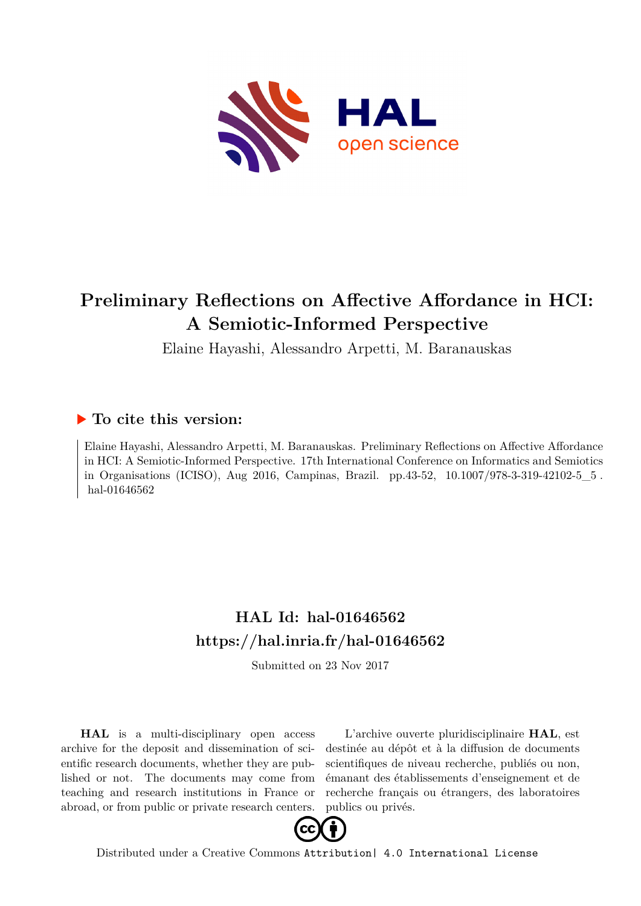

# **Preliminary Reflections on Affective Affordance in HCI: A Semiotic-Informed Perspective**

Elaine Hayashi, Alessandro Arpetti, M. Baranauskas

## **To cite this version:**

Elaine Hayashi, Alessandro Arpetti, M. Baranauskas. Preliminary Reflections on Affective Affordance in HCI: A Semiotic-Informed Perspective. 17th International Conference on Informatics and Semiotics in Organisations (ICISO), Aug 2016, Campinas, Brazil. pp.43-52, 10.1007/978-3-319-42102-5\_5. hal-01646562

## **HAL Id: hal-01646562 <https://hal.inria.fr/hal-01646562>**

Submitted on 23 Nov 2017

**HAL** is a multi-disciplinary open access archive for the deposit and dissemination of scientific research documents, whether they are published or not. The documents may come from teaching and research institutions in France or abroad, or from public or private research centers.

L'archive ouverte pluridisciplinaire **HAL**, est destinée au dépôt et à la diffusion de documents scientifiques de niveau recherche, publiés ou non, émanant des établissements d'enseignement et de recherche français ou étrangers, des laboratoires publics ou privés.



Distributed under a Creative Commons [Attribution| 4.0 International License](http://creativecommons.org/licenses/by/4.0/)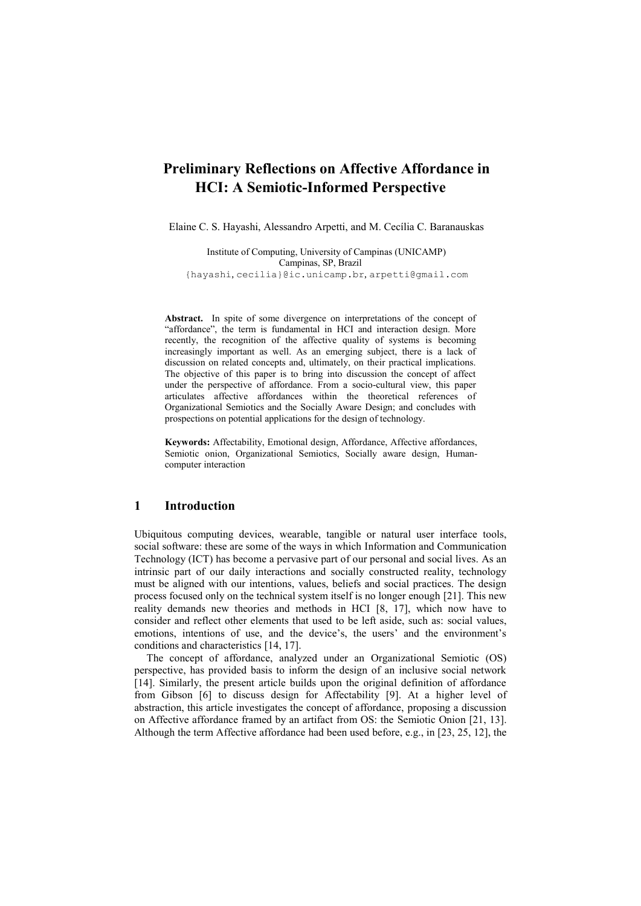### **Preliminary Reflections on Affective Affordance in HCI: A Semiotic-Informed Perspective**

Elaine C. S. Hayashi, Alessandro Arpetti, and M. Cecília C. Baranauskas

Institute of Computing, University of Campinas (UNICAMP) Campinas, SP, Brazil {hayashi, cecilia}@ic.unicamp.br, arpetti@gmail.com

Abstract. In spite of some divergence on interpretations of the concept of "affordance", the term is fundamental in HCI and interaction design. More recently, the recognition of the affective quality of systems is becoming increasingly important as well. As an emerging subject, there is a lack of discussion on related concepts and, ultimately, on their practical implications. The objective of this paper is to bring into discussion the concept of affect under the perspective of affordance. From a socio-cultural view, this paper articulates affective affordances within the theoretical references of Organizational Semiotics and the Socially Aware Design; and concludes with prospections on potential applications for the design of technology.

**Keywords:** Affectability, Emotional design, Affordance, Affective affordances, Semiotic onion, Organizational Semiotics, Socially aware design, Humancomputer interaction

#### **1 Introduction**

Ubiquitous computing devices, wearable, tangible or natural user interface tools, social software: these are some of the ways in which Information and Communication Technology (ICT) has become a pervasive part of our personal and social lives. As an intrinsic part of our daily interactions and socially constructed reality, technology must be aligned with our intentions, values, beliefs and social practices. The design process focused only on the technical system itself is no longer enough [\[21\]](#page-10-0). This new reality demands new theories and methods in HCI [\[8,](#page-10-1) [17\]](#page-10-2), which now have to consider and reflect other elements that used to be left aside, such as: social values, emotions, intentions of use, and the device's, the users' and the environment's conditions and characteristics [\[14,](#page-10-3) [17\]](#page-10-2).

The concept of affordance, analyzed under an Organizational Semiotic (OS) perspective, has provided basis to inform the design of an inclusive social network [\[14\]](#page-10-3). Similarly, the present article builds upon the original definition of affordance from Gibson [\[6\]](#page-9-0) to discuss design for Affectability [\[9\]](#page-10-4). At a higher level of abstraction, this article investigates the concept of affordance, proposing a discussion on Affective affordance framed by an artifact from OS: the Semiotic Onion [\[21,](#page-10-0) [13\]](#page-10-5). Although the term Affective affordance had been used before, e.g., in [\[23,](#page-10-6) [25,](#page-10-7) [12\]](#page-10-8), the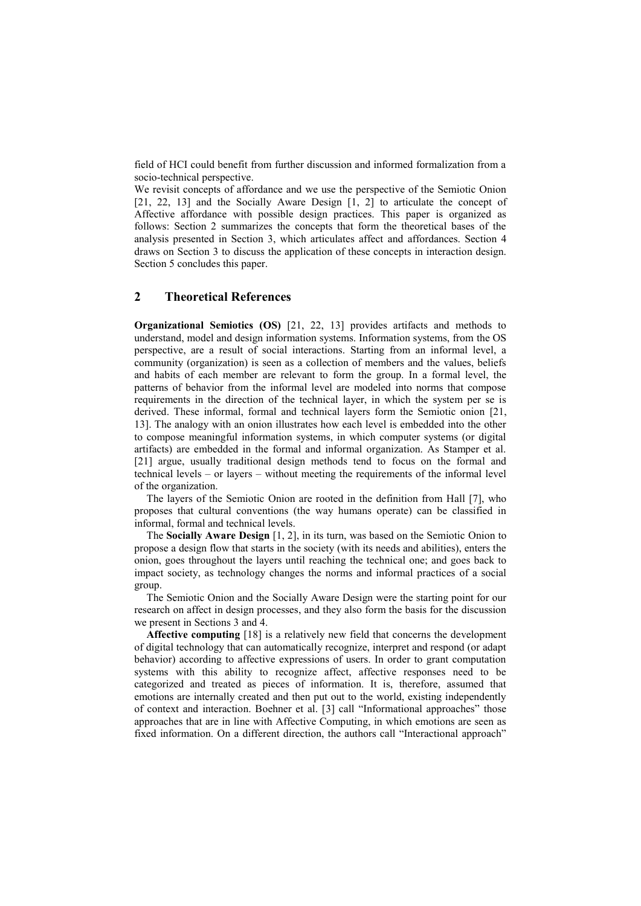field of HCI could benefit from further discussion and informed formalization from a socio-technical perspective.

We revisit concepts of affordance and we use the perspective of the Semiotic Onion [\[21,](#page-10-0) [22,](#page-10-9) [13\]](#page-10-5) and the Socially Aware Design [\[1,](#page-9-1) [2\]](#page-9-2) to articulate the concept of Affective affordance with possible design practices. This paper is organized as follows: Section 2 summarizes the concepts that form the theoretical bases of the analysis presented in Section 3, which articulates affect and affordances. Section 4 draws on Section 3 to discuss the application of these concepts in interaction design. Section 5 concludes this paper.

### **2 Theoretical References**

**Organizational Semiotics (OS)** [\[21,](#page-10-0) [22,](#page-10-9) [13\]](#page-10-5) provides artifacts and methods to understand, model and design information systems. Information systems, from the OS perspective, are a result of social interactions. Starting from an informal level, a community (organization) is seen as a collection of members and the values, beliefs and habits of each member are relevant to form the group. In a formal level, the patterns of behavior from the informal level are modeled into norms that compose requirements in the direction of the technical layer, in which the system per se is derived. These informal, formal and technical layers form the Semiotic onion [\[21,](#page-10-0) [13\]](#page-10-5). The analogy with an onion illustrates how each level is embedded into the other to compose meaningful information systems, in which computer systems (or digital artifacts) are embedded in the formal and informal organization. As Stamper et al. [\[21\]](#page-10-0) argue, usually traditional design methods tend to focus on the formal and technical levels – or layers – without meeting the requirements of the informal level of the organization.

The layers of the Semiotic Onion are rooted in the definition from Hall [\[7\]](#page-10-10), who proposes that cultural conventions (the way humans operate) can be classified in informal, formal and technical levels.

The **Socially Aware Design** [\[1,](#page-9-1) [2\]](#page-9-2), in its turn, was based on the Semiotic Onion to propose a design flow that starts in the society (with its needs and abilities), enters the onion, goes throughout the layers until reaching the technical one; and goes back to impact society, as technology changes the norms and informal practices of a social group.

The Semiotic Onion and the Socially Aware Design were the starting point for our research on affect in design processes, and they also form the basis for the discussion we present in Sections 3 and 4.

**Affective computing** [\[18\]](#page-10-11) is a relatively new field that concerns the development of digital technology that can automatically recognize, interpret and respond (or adapt behavior) according to affective expressions of users. In order to grant computation systems with this ability to recognize affect, affective responses need to be categorized and treated as pieces of information. It is, therefore, assumed that emotions are internally created and then put out to the world, existing independently of context and interaction. Boehner et al. [\[3](#page-9-3)] call "Informational approaches" those approaches that are in line with Affective Computing, in which emotions are seen as fixed information. On a different direction, the authors call "Interactional approach"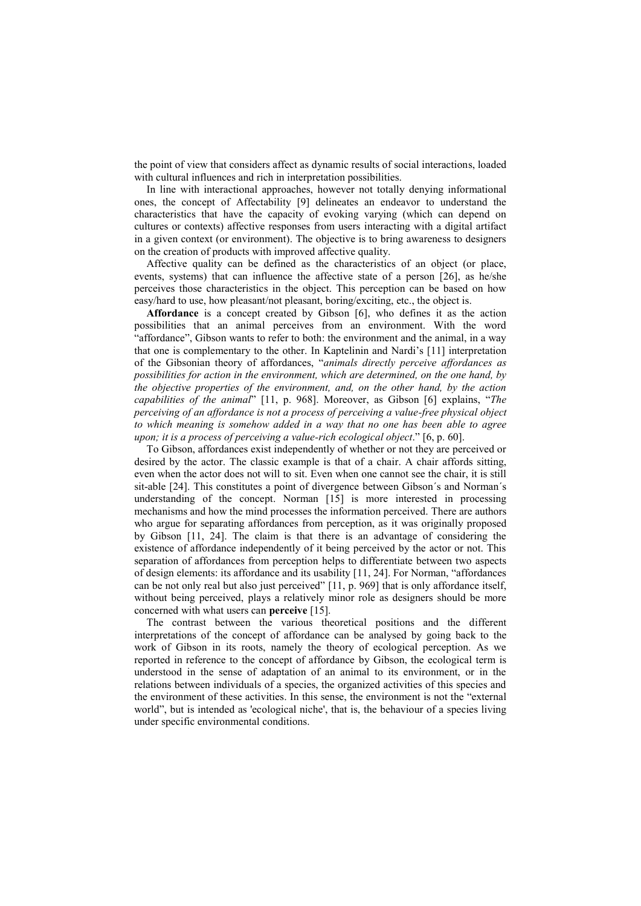the point of view that considers affect as dynamic results of social interactions, loaded with cultural influences and rich in interpretation possibilities.

In line with interactional approaches, however not totally denying informational ones, the concept of Affectability [\[9\]](#page-10-4) delineates an endeavor to understand the characteristics that have the capacity of evoking varying (which can depend on cultures or contexts) affective responses from users interacting with a digital artifact in a given context (or environment). The objective is to bring awareness to designers on the creation of products with improved affective quality.

Affective quality can be defined as the characteristics of an object (or place, events, systems) that can influence the affective state of a person [\[26\]](#page-10-12), as he/she perceives those characteristics in the object. This perception can be based on how easy/hard to use, how pleasant/not pleasant, boring/exciting, etc., the object is.

**Affordance** is a concept created by Gibson [\[6\]](#page-9-0), who defines it as the action possibilities that an animal perceives from an environment. With the word "affordance", Gibson wants to refer to both: the environment and the animal, in a way that one is complementary to the other. In Kaptelinin and Nardi's [[11\]](#page-10-13) interpretation of the Gibsonian theory of affordances, "*animals directly perceive affordances as possibilities for action in the environment, which are determined, on the one hand, by the objective properties of the environment, and, on the other hand, by the action capabilities of the animal*" [11, p. 968]. Moreover, as Gibson [\[6](#page-9-0)] explains, "*The perceiving of an affordance is not a process of perceiving a value-free physical object to which meaning is somehow added in a way that no one has been able to agree upon; it is a process of perceiving a value-rich ecological object*." [6, p. 60].

To Gibson, affordances exist independently of whether or not they are perceived or desired by the actor. The classic example is that of a chair. A chair affords sitting, even when the actor does not will to sit. Even when one cannot see the chair, it is still sit-able [\[24\]](#page-10-14). This constitutes a point of divergence between Gibson´s and Norman´s understanding of the concept. Norman [\[15\]](#page-10-15) is more interested in processing mechanisms and how the mind processes the information perceived. There are authors who argue for separating affordances from perception, as it was originally proposed by Gibson [\[11,](#page-10-13) [24\]](#page-10-14). The claim is that there is an advantage of considering the existence of affordance independently of it being perceived by the actor or not. This separation of affordances from perception helps to differentiate between two aspects of design elements: its affordance and its usability [\[11,](#page-10-13) [24\]](#page-10-14). For Norman, "affordances can be not only real but also just perceived" [\[11,](#page-10-13) p. 969] that is only affordance itself, without being perceived, plays a relatively minor role as designers should be more concerned with what users can **perceive** [\[15\]](#page-10-15).

The contrast between the various theoretical positions and the different interpretations of the concept of affordance can be analysed by going back to the work of Gibson in its roots, namely the theory of ecological perception. As we reported in reference to the concept of affordance by Gibson, the ecological term is understood in the sense of adaptation of an animal to its environment, or in the relations between individuals of a species, the organized activities of this species and the environment of these activities. In this sense, the environment is not the "external world", but is intended as 'ecological niche', that is, the behaviour of a species living under specific environmental conditions.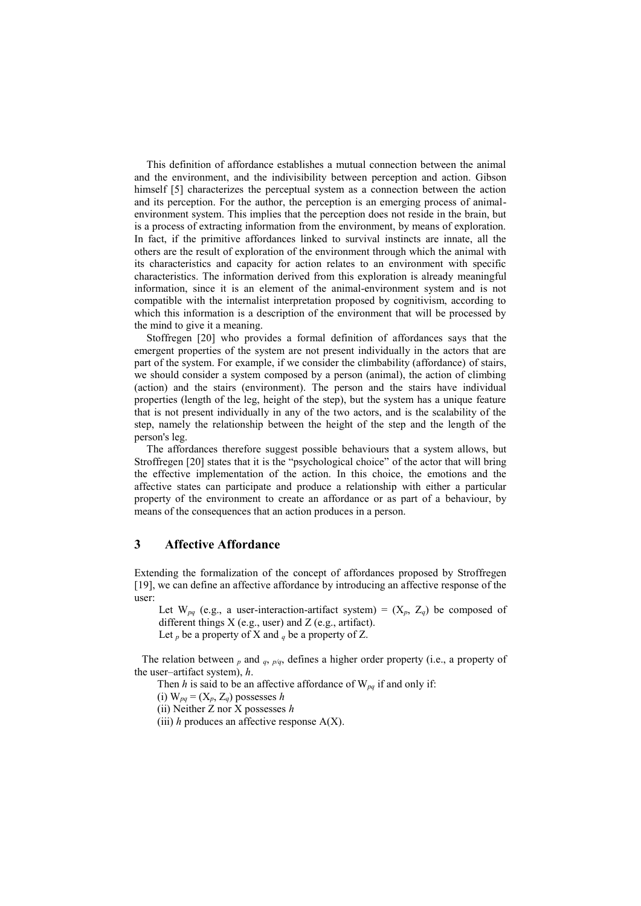This definition of affordance establishes a mutual connection between the animal and the environment, and the indivisibility between perception and action. Gibson himself [\[5\]](#page-9-4) characterizes the perceptual system as a connection between the action and its perception. For the author, the perception is an emerging process of animalenvironment system. This implies that the perception does not reside in the brain, but is a process of extracting information from the environment, by means of exploration. In fact, if the primitive affordances linked to survival instincts are innate, all the others are the result of exploration of the environment through which the animal with its characteristics and capacity for action relates to an environment with specific characteristics. The information derived from this exploration is already meaningful information, since it is an element of the animal-environment system and is not compatible with the internalist interpretation proposed by cognitivism, according to which this information is a description of the environment that will be processed by the mind to give it a meaning.

Stoffregen [\[20\]](#page-10-16) who provides a formal definition of affordances says that the emergent properties of the system are not present individually in the actors that are part of the system. For example, if we consider the climbability (affordance) of stairs, we should consider a system composed by a person (animal), the action of climbing (action) and the stairs (environment). The person and the stairs have individual properties (length of the leg, height of the step), but the system has a unique feature that is not present individually in any of the two actors, and is the scalability of the step, namely the relationship between the height of the step and the length of the person's leg.

The affordances therefore suggest possible behaviours that a system allows, but Stroffregen [\[20\]](#page-10-16) states that it is the "psychological choice" of the actor that will bring the effective implementation of the action. In this choice, the emotions and the affective states can participate and produce a relationship with either a particular property of the environment to create an affordance or as part of a behaviour, by means of the consequences that an action produces in a person.

#### **3 Affective Affordance**

Extending the formalization of the concept of affordances proposed by Stroffregen [\[19\]](#page-10-17), we can define an affective affordance by introducing an affective response of the user:

Let  $W_{pq}$  (e.g., a user-interaction-artifact system) =  $(X_p, Z_q)$  be composed of different things X (e.g., user) and Z (e.g., artifact). Let  $_p$  be a property of X and  $_q$  be a property of Z.

The relation between  $_p$  and  $_q$ ,  $p/q$ , defines a higher order property (i.e., a property of the user–artifact system), *h*.

Then *h* is said to be an affective affordance of  $W_{pq}$  if and only if:

(i)  $W_{pq} = (X_p, Z_q)$  possesses *h* 

(ii) Neither Z nor X possesses *h*

(iii)  $h$  produces an affective response  $A(X)$ .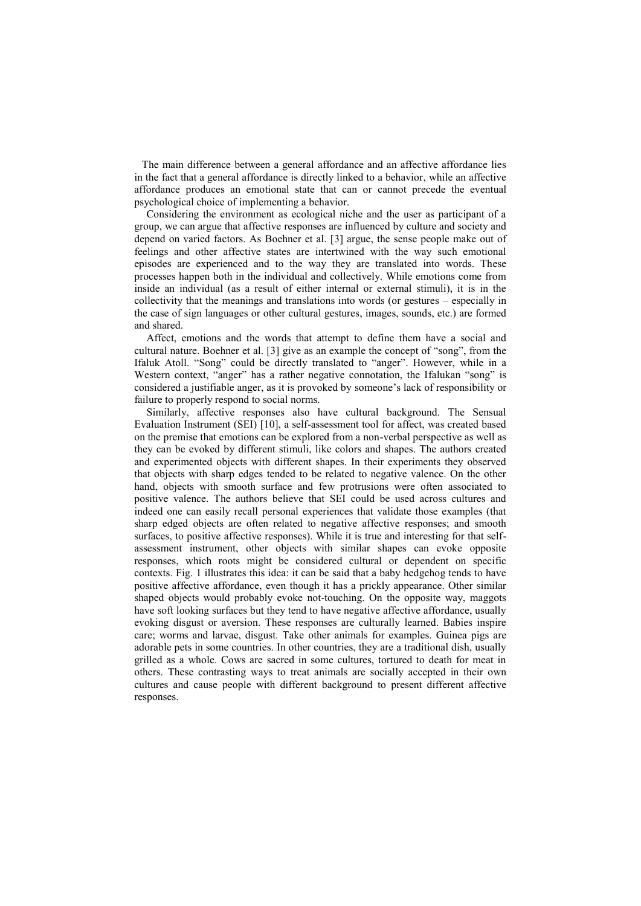The main difference between a general affordance and an affective affordance lies in the fact that a general affordance is directly linked to a behavior, while an affective affordance produces an emotional state that can or cannot precede the eventual psychological choice of implementing a behavior.

Considering the environment as ecological niche and the user as participant of a group, we can argue that affective responses are influenced by culture and society and depend on varied factors. As Boehner et al. [\[3\]](#page-9-3) argue, the sense people make out of feelings and other affective states are intertwined with the way such emotional episodes are experienced and to the way they are translated into words. These processes happen both in the individual and collectively. While emotions come from inside an individual (as a result of either internal or external stimuli), it is in the collectivity that the meanings and translations into words (or gestures – especially in the case of sign languages or other cultural gestures, images, sounds, etc.) are formed and shared.

Affect, emotions and the words that attempt to define them have a social and cultural nature. Boehner et al. [\[3\]](#page-9-3) give as an example the concept of "song", from the Ifaluk Atoll. "Song" could be directly translated to "anger". However, while in a Western context, "anger" has a rather negative connotation, the Ifalukan "song" is considered a justifiable anger, as it is provoked by someone's lack of responsibility or failure to properly respond to social norms.

Similarly, affective responses also have cultural background. The Sensual Evaluation Instrument (SEI) [\[10\]](#page-10-18), a self-assessment tool for affect, was created based on the premise that emotions can be explored from a non-verbal perspective as well as they can be evoked by different stimuli, like colors and shapes. The authors created and experimented objects with different shapes. In their experiments they observed that objects with sharp edges tended to be related to negative valence. On the other hand, objects with smooth surface and few protrusions were often associated to positive valence. The authors believe that SEI could be used across cultures and indeed one can easily recall personal experiences that validate those examples (that sharp edged objects are often related to negative affective responses; and smooth surfaces, to positive affective responses). While it is true and interesting for that selfassessment instrument, other objects with similar shapes can evoke opposite responses, which roots might be considered cultural or dependent on specific contexts. [Fig.](#page-6-0) 1 illustrates this idea: it can be said that a baby hedgehog tends to have positive affective affordance, even though it has a prickly appearance. Other similar shaped objects would probably evoke not-touching. On the opposite way, maggots have soft looking surfaces but they tend to have negative affective affordance, usually evoking disgust or aversion. These responses are culturally learned. Babies inspire care; worms and larvae, disgust. Take other animals for examples. Guinea pigs are adorable pets in some countries. In other countries, they are a traditional dish, usually grilled as a whole. Cows are sacred in some cultures, tortured to death for meat in others. These contrasting ways to treat animals are socially accepted in their own cultures and cause people with different background to present different affective responses.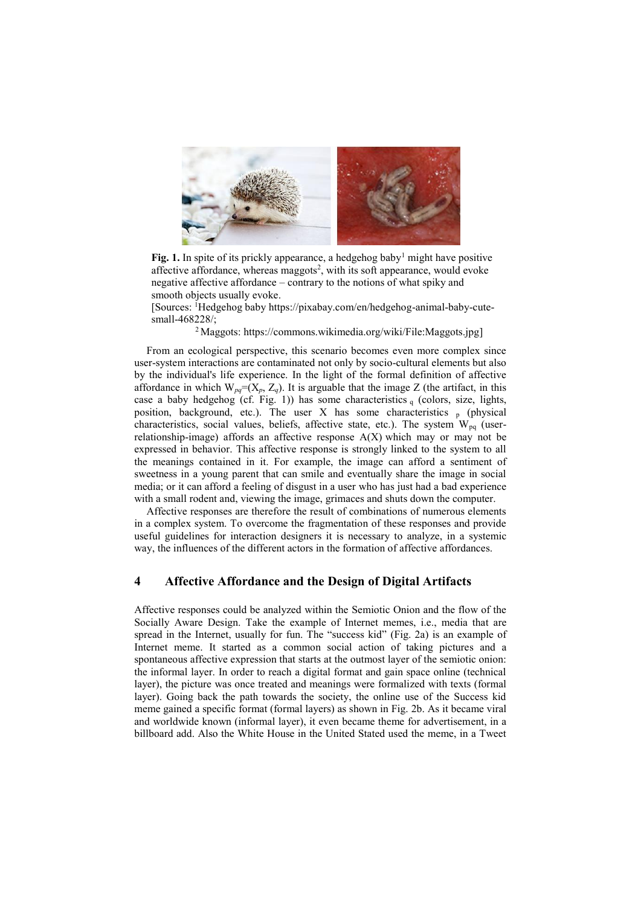

<span id="page-6-0"></span>**Fig.** 1. In spite of its prickly appearance, a hedgehog baby<sup>1</sup> might have positive affective affordance, whereas maggots<sup>2</sup>, with its soft appearance, would evoke negative affective affordance – contrary to the notions of what spiky and smooth objects usually evoke.

[Sources: <sup>1</sup>Hedgehog baby https://pixabay.com/en/hedgehog-animal-baby-cutesmall-468228/;

<sup>2</sup> Maggots: https://commons.wikimedia.org/wiki/File:Maggots.jpg]

From an ecological perspective, this scenario becomes even more complex since user-system interactions are contaminated not only by socio-cultural elements but also by the individual's life experience. In the light of the formal definition of affective affordance in which  $W_{pq}=(X_p, Z_q)$ . It is arguable that the image Z (the artifact, in this case a baby hedgehog (cf. [Fig.](#page-6-0) 1)) has some characteristics  $_q$  (colors, size, lights, position, background, etc.). The user X has some characteristics  $_p$  (physical characteristics, social values, beliefs, affective state, etc.). The system  $W_{pq}$  (userrelationship-image) affords an affective response  $A(X)$  which may or may not be expressed in behavior. This affective response is strongly linked to the system to all the meanings contained in it. For example, the image can afford a sentiment of sweetness in a young parent that can smile and eventually share the image in social media; or it can afford a feeling of disgust in a user who has just had a bad experience with a small rodent and, viewing the image, grimaces and shuts down the computer.

Affective responses are therefore the result of combinations of numerous elements in a complex system. To overcome the fragmentation of these responses and provide useful guidelines for interaction designers it is necessary to analyze, in a systemic way, the influences of the different actors in the formation of affective affordances.

### **4 Affective Affordance and the Design of Digital Artifacts**

Affective responses could be analyzed within the Semiotic Onion and the flow of the Socially Aware Design. Take the example of Internet memes, i.e., media that are spread in the Internet, usually for fun. The "success kid" (Fig. 2a) is an example of Internet meme. It started as a common social action of taking pictures and a spontaneous affective expression that starts at the outmost layer of the semiotic onion: the informal layer. In order to reach a digital format and gain space online (technical layer), the picture was once treated and meanings were formalized with texts (formal layer). Going back the path towards the society, the online use of the Success kid meme gained a specific format (formal layers) as shown in Fig. 2b. As it became viral and worldwide known (informal layer), it even became theme for advertisement, in a billboard add. Also the White House in the United Stated used the meme, in a Tweet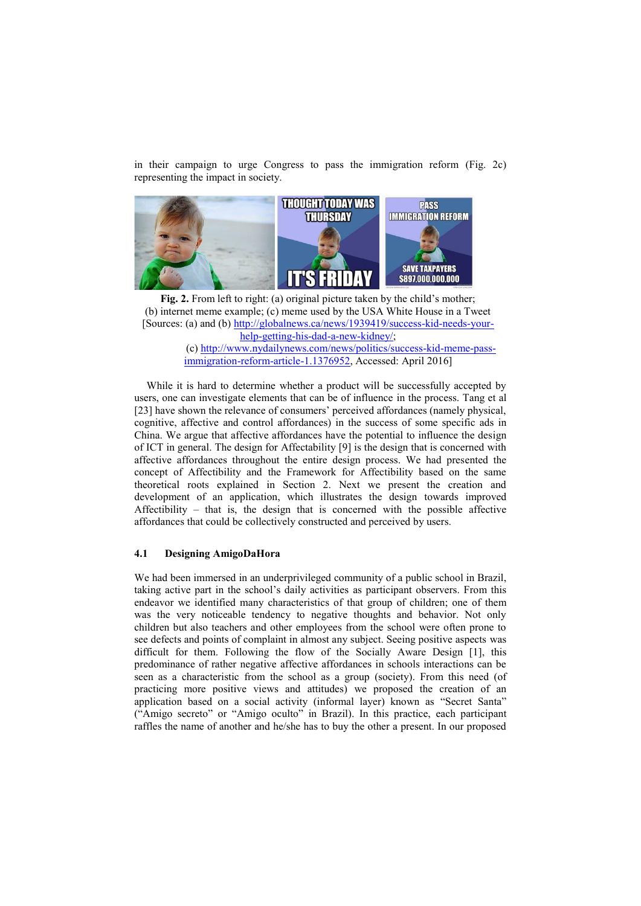in their campaign to urge Congress to pass the immigration reform (Fig. 2c) representing the impact in society.



**Fig. 2.** From left to right: (a) original picture taken by the child's mother; (b) internet meme example; (c) meme used by the USA White House in a Tweet [Sources: (a) and (b) [http://globalnews.ca/news/1939419/success-kid-needs-your](http://globalnews.ca/news/1939419/success-kid-needs-your-help-getting-his-dad-a-new-kidney/)[help-getting-his-dad-a-new-kidney/;](http://globalnews.ca/news/1939419/success-kid-needs-your-help-getting-his-dad-a-new-kidney/)  (c) [http://www.nydailynews.com/news/politics/success-kid-meme-pass](http://www.nydailynews.com/news/politics/success-kid-meme-pass-immigration-reform-article-1.1376952)[immigration-reform-article-1.1376952,](http://www.nydailynews.com/news/politics/success-kid-meme-pass-immigration-reform-article-1.1376952) Accessed: April 2016]

While it is hard to determine whether a product will be successfully accepted by users, one can investigate elements that can be of influence in the process. Tang et al [\[23](#page-10-6)] have shown the relevance of consumers' perceived affordances (namely physical, cognitive, affective and control affordances) in the success of some specific ads in China. We argue that affective affordances have the potential to influence the design of ICT in general. The design for Affectability [\[9\]](#page-10-4) is the design that is concerned with affective affordances throughout the entire design process. We had presented the concept of Affectibility and the Framework for Affectibility based on the same theoretical roots explained in Section 2. Next we present the creation and development of an application, which illustrates the design towards improved Affectibility – that is, the design that is concerned with the possible affective affordances that could be collectively constructed and perceived by users.

#### **4.1 Designing AmigoDaHora**

We had been immersed in an underprivileged community of a public school in Brazil, taking active part in the school's daily activities as participant observers. From this endeavor we identified many characteristics of that group of children; one of them was the very noticeable tendency to negative thoughts and behavior. Not only children but also teachers and other employees from the school were often prone to see defects and points of complaint in almost any subject. Seeing positive aspects was difficult for them. Following the flow of the Socially Aware Design [\[1\]](#page-9-1), this predominance of rather negative affective affordances in schools interactions can be seen as a characteristic from the school as a group (society). From this need (of practicing more positive views and attitudes) we proposed the creation of an application based on a social activity (informal layer) known as "Secret Santa" ("Amigo secreto" or "Amigo oculto" in Brazil). In this practice, each participant raffles the name of another and he/she has to buy the other a present. In our proposed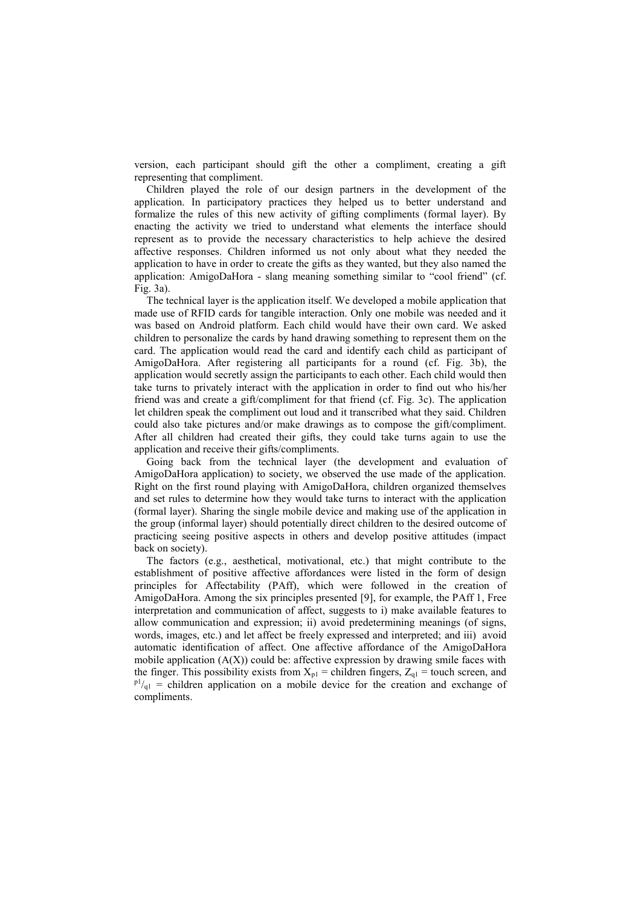version, each participant should gift the other a compliment, creating a gift representing that compliment.

Children played the role of our design partners in the development of the application. In participatory practices they helped us to better understand and formalize the rules of this new activity of gifting compliments (formal layer). By enacting the activity we tried to understand what elements the interface should represent as to provide the necessary characteristics to help achieve the desired affective responses. Children informed us not only about what they needed the application to have in order to create the gifts as they wanted, but they also named the application: AmigoDaHora - slang meaning something similar to "cool friend" (cf. Fig. 3a).

The technical layer is the application itself. We developed a mobile application that made use of RFID cards for tangible interaction. Only one mobile was needed and it was based on Android platform. Each child would have their own card. We asked children to personalize the cards by hand drawing something to represent them on the card. The application would read the card and identify each child as participant of AmigoDaHora. After registering all participants for a round (cf. Fig. 3b), the application would secretly assign the participants to each other. Each child would then take turns to privately interact with the application in order to find out who his/her friend was and create a gift/compliment for that friend (cf. Fig. 3c). The application let children speak the compliment out loud and it transcribed what they said. Children could also take pictures and/or make drawings as to compose the gift/compliment. After all children had created their gifts, they could take turns again to use the application and receive their gifts/compliments.

Going back from the technical layer (the development and evaluation of AmigoDaHora application) to society, we observed the use made of the application. Right on the first round playing with AmigoDaHora, children organized themselves and set rules to determine how they would take turns to interact with the application (formal layer). Sharing the single mobile device and making use of the application in the group (informal layer) should potentially direct children to the desired outcome of practicing seeing positive aspects in others and develop positive attitudes (impact back on society).

The factors (e.g., aesthetical, motivational, etc.) that might contribute to the establishment of positive affective affordances were listed in the form of design principles for Affectability (PAff), which were followed in the creation of AmigoDaHora. Among the six principles presented [\[9\]](#page-10-4), for example, the PAff 1, Free interpretation and communication of affect, suggests to i) make available features to allow communication and expression; ii) avoid predetermining meanings (of signs, words, images, etc.) and let affect be freely expressed and interpreted; and iii) avoid automatic identification of affect. One affective affordance of the AmigoDaHora mobile application (A(X)) could be: affective expression by drawing smile faces with the finger. This possibility exists from  $X_{p1}$  = children fingers,  $Z_{q1}$  = touch screen, and  $P^1/_{q1}$  = children application on a mobile device for the creation and exchange of compliments.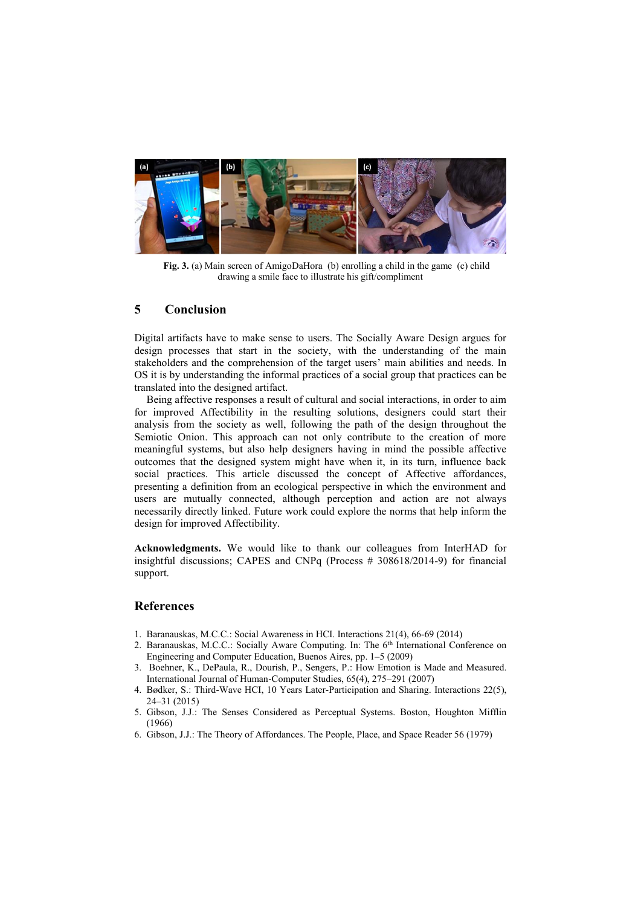

**Fig. 3.** (a) Main screen of AmigoDaHora (b) enrolling a child in the game (c) child drawing a smile face to illustrate his gift/compliment

#### **5 Conclusion**

Digital artifacts have to make sense to users. The Socially Aware Design argues for design processes that start in the society, with the understanding of the main stakeholders and the comprehension of the target users' main abilities and needs. In OS it is by understanding the informal practices of a social group that practices can be translated into the designed artifact.

Being affective responses a result of cultural and social interactions, in order to aim for improved Affectibility in the resulting solutions, designers could start their analysis from the society as well, following the path of the design throughout the Semiotic Onion. This approach can not only contribute to the creation of more meaningful systems, but also help designers having in mind the possible affective outcomes that the designed system might have when it, in its turn, influence back social practices. This article discussed the concept of Affective affordances, presenting a definition from an ecological perspective in which the environment and users are mutually connected, although perception and action are not always necessarily directly linked. Future work could explore the norms that help inform the design for improved Affectibility.

**Acknowledgments.** We would like to thank our colleagues from InterHAD for insightful discussions; CAPES and CNPq (Process # 308618/2014-9) for financial support.

#### **References**

- <span id="page-9-1"></span>1. Baranauskas, M.C.C.: Social Awareness in HCI. Interactions 21(4), 66-69 (2014)
- <span id="page-9-2"></span>2. Baranauskas, M.C.C.: Socially Aware Computing. In: The 6<sup>th</sup> International Conference on Engineering and Computer Education, Buenos Aires, pp. 1–5 (2009)
- <span id="page-9-3"></span>3. Boehner, K., DePaula, R., Dourish, P., Sengers, P.: How Emotion is Made and Measured. International Journal of Human-Computer Studies, 65(4), 275–291 (2007)
- 4. Bødker, S.: Third-Wave HCI, 10 Years Later-Participation and Sharing. Interactions 22(5), 24–31 (2015)
- <span id="page-9-4"></span>5. Gibson, J.J.: The Senses Considered as Perceptual Systems. Boston, Houghton Mifflin (1966)
- <span id="page-9-0"></span>6. Gibson, J.J.: The Theory of Affordances. The People, Place, and Space Reader 56 (1979)